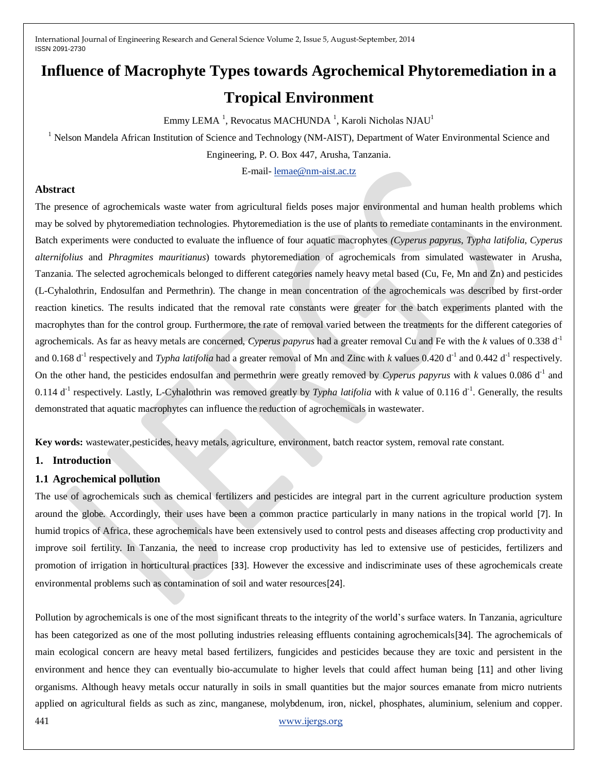# **Influence of Macrophyte Types towards Agrochemical Phytoremediation in a Tropical Environment**

Emmy LEMA  $^1$ , Revocatus MACHUNDA  $^1$ , Karoli Nicholas NJAU $^1$ 

<sup>1</sup> Nelson Mandela African Institution of Science and Technology (NM-AIST), Department of Water Environmental Science and

Engineering, P. O. Box 447, Arusha, Tanzania.

E-mail- [lemae@nm-aist.ac.tz](mailto:lemae@nm-aist.ac.tz)

#### **Abstract**

The presence of agrochemicals waste water from agricultural fields poses major environmental and human health problems which may be solved by phytoremediation technologies. Phytoremediation is the use of plants to remediate contaminants in the environment. Batch experiments were conducted to evaluate the influence of four aquatic macrophytes *(Cyperus papyrus*, *Typha latifolia*, *Cyperus alternifolius* and *Phragmites mauritianus*) towards phytoremediation of agrochemicals from simulated wastewater in Arusha, Tanzania. The selected agrochemicals belonged to different categories namely heavy metal based (Cu, Fe, Mn and Zn) and pesticides (L-Cyhalothrin, Endosulfan and Permethrin). The change in mean concentration of the agrochemicals was described by first-order reaction kinetics. The results indicated that the removal rate constants were greater for the batch experiments planted with the macrophytes than for the control group. Furthermore, the rate of removal varied between the treatments for the different categories of agrochemicals. As far as heavy metals are concerned, *Cyperus papyrus* had a greater removal Cu and Fe with the *k* values of 0.338 d-1 and 0.168  $d^{-1}$  respectively and *Typha latifolia* had a greater removal of Mn and Zinc with *k* values 0.420  $d^{-1}$  and 0.442  $d^{-1}$  respectively. On the other hand, the pesticides endosulfan and permethrin were greatly removed by *Cyperus papyrus* with  $k$  values 0.086 d<sup>-1</sup> and 0.114 d<sup>-1</sup> respectively. Lastly, L-Cyhalothrin was removed greatly by *Typha latifolia* with *k* value of 0.116 d<sup>-1</sup>. Generally, the results demonstrated that aquatic macrophytes can influence the reduction of agrochemicals in wastewater.

**Key words:** wastewater,pesticides, heavy metals, agriculture, environment, batch reactor system, removal rate constant.

### **1. Introduction**

### **1.1 Agrochemical pollution**

The use of agrochemicals such as chemical fertilizers and pesticides are integral part in the current agriculture production system around the globe. Accordingly, their uses have been a common practice particularly in many nations in the tropical world [7]. In humid tropics of Africa, these agrochemicals have been extensively used to control pests and diseases affecting crop productivity and improve soil fertility. In Tanzania, the need to increase crop productivity has led to extensive use of pesticides, fertilizers and promotion of irrigation in horticultural practices [33]. However the excessive and indiscriminate uses of these agrochemicals create environmental problems such as contamination of soil and water resources[24].

441 [www.ijergs.org](http://www.ijergs.org/) Pollution by agrochemicals is one of the most significant threats to the integrity of the world's surface waters. In Tanzania, agriculture has been categorized as one of the most polluting industries releasing effluents containing agrochemicals [34]. The agrochemicals of main ecological concern are heavy metal based fertilizers, fungicides and pesticides because they are toxic and persistent in the environment and hence they can eventually bio-accumulate to higher levels that could affect human being [11] and other living organisms. Although heavy metals occur naturally in soils in small quantities but the major sources emanate from micro nutrients applied on agricultural fields as such as zinc, manganese, molybdenum, iron, nickel, phosphates, aluminium, selenium and copper.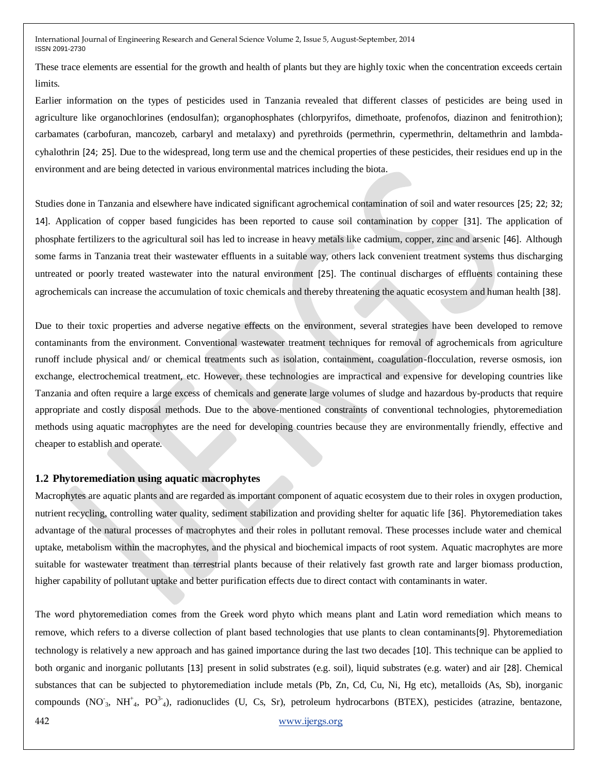These trace elements are essential for the growth and health of plants but they are highly toxic when the concentration exceeds certain limits.

Earlier information on the types of pesticides used in Tanzania revealed that different classes of pesticides are being used in agriculture like organochlorines (endosulfan); organophosphates (chlorpyrifos, dimethoate, profenofos, diazinon and fenitrothion); carbamates (carbofuran, mancozeb, carbaryl and metalaxy) and pyrethroids (permethrin, cypermethrin, deltamethrin and lambdacyhalothrin [24; 25]. Due to the widespread, long term use and the chemical properties of these pesticides, their residues end up in the environment and are being detected in various environmental matrices including the biota.

Studies done in Tanzania and elsewhere have indicated significant agrochemical contamination of soil and water resources [25; 22; 32; 14]. Application of copper based fungicides has been reported to cause soil contamination by copper [31]. The application of phosphate fertilizers to the agricultural soil has led to increase in heavy metals like cadmium, copper, zinc and arsenic [46]. Although some farms in Tanzania treat their wastewater effluents in a suitable way, others lack convenient treatment systems thus discharging untreated or poorly treated wastewater into the natural environment [25]. The continual discharges of effluents containing these agrochemicals can increase the accumulation of toxic chemicals and thereby threatening the aquatic ecosystem and human health [38].

Due to their toxic properties and adverse negative effects on the environment, several strategies have been developed to remove contaminants from the environment. Conventional wastewater treatment techniques for removal of agrochemicals from agriculture runoff include physical and/ or chemical treatments such as isolation, containment, coagulation-flocculation, reverse osmosis, ion exchange, electrochemical treatment, etc. However, these technologies are impractical and expensive for developing countries like Tanzania and often require a large excess of chemicals and generate large volumes of sludge and hazardous by-products that require appropriate and costly disposal methods. Due to the above-mentioned constraints of conventional technologies, phytoremediation methods using aquatic macrophytes are the need for developing countries because they are environmentally friendly, effective and cheaper to establish and operate.

#### **1.2 Phytoremediation using aquatic macrophytes**

Macrophytes are aquatic plants and are regarded as important component of aquatic ecosystem due to their roles in oxygen production, nutrient recycling, controlling water quality, sediment stabilization and providing shelter for aquatic life [36]. Phytoremediation takes advantage of the natural processes of macrophytes and their roles in pollutant removal. These processes include water and chemical uptake, metabolism within the macrophytes, and the physical and biochemical impacts of root system. Aquatic macrophytes are more suitable for wastewater treatment than terrestrial plants because of their relatively fast growth rate and larger biomass production, higher capability of pollutant uptake and better purification effects due to direct contact with contaminants in water.

The word phytoremediation comes from the Greek word phyto which means plant and Latin word remediation which means to remove, which refers to a diverse collection of plant based technologies that use plants to clean contaminants[9]. Phytoremediation technology is relatively a new approach and has gained importance during the last two decades [10]. This technique can be applied to both organic and inorganic pollutants [13] present in solid substrates (e.g. soil), liquid substrates (e.g. water) and air [28]. Chemical substances that can be subjected to phytoremediation include metals (Pb, Zn, Cd, Cu, Ni, Hg etc), metalloids (As, Sb), inorganic compounds (NO<sup>-</sup><sub>3</sub>, NH<sup>+</sup><sub>4</sub>, PO<sup>3-</sup><sub>4</sub>), radionuclides (U, Cs, Sr), petroleum hydrocarbons (BTEX), pesticides (atrazine, bentazone,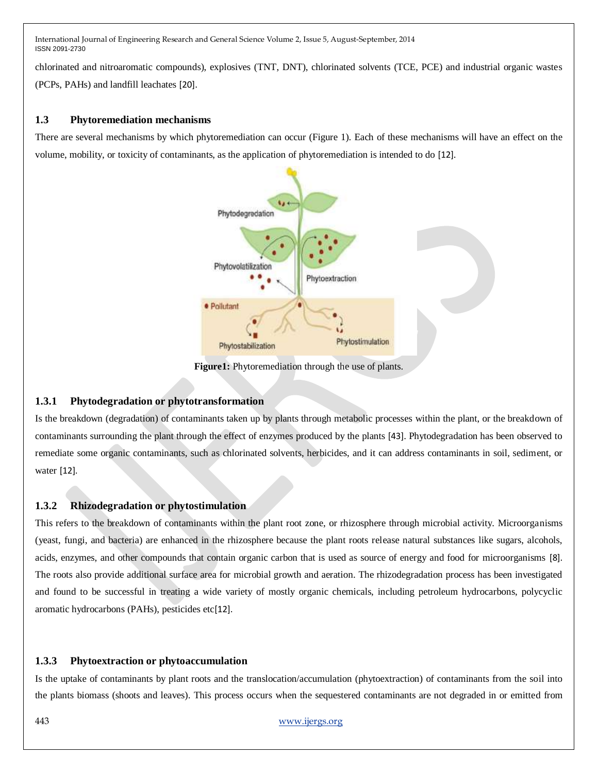chlorinated and nitroaromatic compounds), explosives (TNT, DNT), chlorinated solvents (TCE, PCE) and industrial organic wastes (PCPs, PAHs) and landfill leachates [20].

## **1.3 Phytoremediation mechanisms**

There are several mechanisms by which phytoremediation can occur (Figure 1). Each of these mechanisms will have an effect on the volume, mobility, or toxicity of contaminants, as the application of phytoremediation is intended to do [12].



**Figure1:** Phytoremediation through the use of plants.

# **1.3.1 Phytodegradation or phytotransformation**

Is the breakdown (degradation) of contaminants taken up by plants through metabolic processes within the plant, or the breakdown of contaminants surrounding the plant through the effect of enzymes produced by the plants [43]. Phytodegradation has been observed to remediate some organic contaminants, such as chlorinated solvents, herbicides, and it can address contaminants in soil, sediment, or water [12].

# **1.3.2 Rhizodegradation or phytostimulation**

This refers to the breakdown of contaminants within the plant root zone, or rhizosphere through microbial activity. Microorganisms (yeast, fungi, and bacteria) are enhanced in the rhizosphere because the plant roots release natural substances like sugars, alcohols, acids, enzymes, and other compounds that contain organic carbon that is used as source of energy and food for microorganisms [8]. The roots also provide additional surface area for microbial growth and aeration. The rhizodegradation process has been investigated and found to be successful in treating a wide variety of mostly organic chemicals, including petroleum hydrocarbons, polycyclic aromatic hydrocarbons (PAHs), pesticides etc[12].

# **1.3.3 Phytoextraction or phytoaccumulation**

Is the uptake of contaminants by plant roots and the translocation/accumulation (phytoextraction) of contaminants from the soil into the plants biomass (shoots and leaves). This process occurs when the sequestered contaminants are not degraded in or emitted from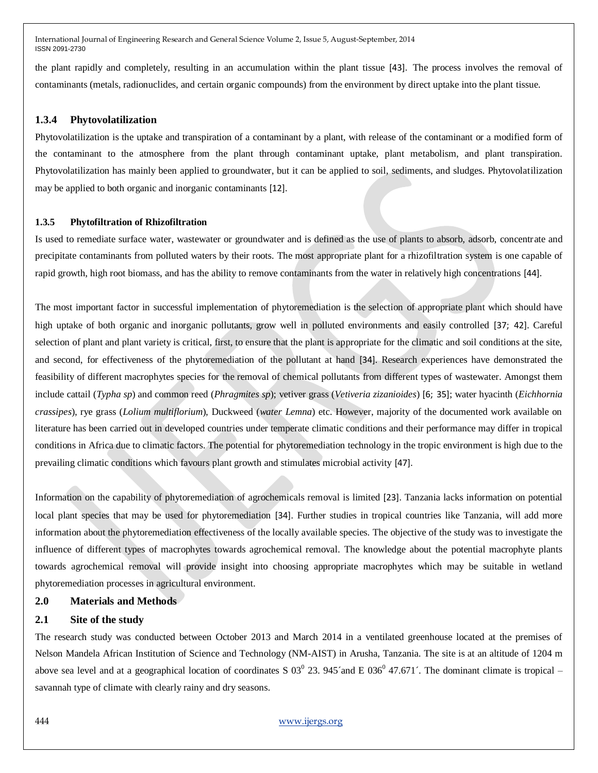the plant rapidly and completely, resulting in an accumulation within the plant tissue [43]. The process involves the removal of contaminants (metals, radionuclides, and certain organic compounds) from the environment by direct uptake into the plant tissue.

### **1.3.4 Phytovolatilization**

Phytovolatilization is the uptake and transpiration of a contaminant by a plant, with release of the contaminant or a modified form of the contaminant to the atmosphere from the plant through contaminant uptake, plant metabolism, and plant transpiration. Phytovolatilization has mainly been applied to groundwater, but it can be applied to soil, sediments, and sludges. Phytovolatilization may be applied to both organic and inorganic contaminants [12].

## **1.3.5 Phytofiltration of Rhizofiltration**

Is used to remediate surface water, wastewater or groundwater and is defined as the use of plants to absorb, adsorb, concentrate and precipitate contaminants from polluted waters by their roots. The most appropriate plant for a rhizofiltration system is one capable of rapid growth, high root biomass, and has the ability to remove contaminants from the water in relatively high concentrations [44].

The most important factor in successful implementation of phytoremediation is the selection of appropriate plant which should have high uptake of both organic and inorganic pollutants, grow well in polluted environments and easily controlled [37; 42]. Careful selection of plant and plant variety is critical, first, to ensure that the plant is appropriate for the climatic and soil conditions at the site, and second, for effectiveness of the phytoremediation of the pollutant at hand [34]. Research experiences have demonstrated the feasibility of different macrophytes species for the removal of chemical pollutants from different types of wastewater. Amongst them include cattail (*Typha sp*) and common reed (*Phragmites sp*); vetiver grass (*Vetiveria zizanioides*) [6; 35]; water hyacinth (*Eichhornia crassipes*), rye grass (*Lolium multiflorium*), Duckweed (*water Lemna*) etc. However, majority of the documented work available on literature has been carried out in developed countries under temperate climatic conditions and their performance may differ in tropical conditions in Africa due to climatic factors. The potential for phytoremediation technology in the tropic environment is high due to the prevailing climatic conditions which favours plant growth and stimulates microbial activity [47].

Information on the capability of phytoremediation of agrochemicals removal is limited [23]. Tanzania lacks information on potential local plant species that may be used for phytoremediation [34]. Further studies in tropical countries like Tanzania, will add more information about the phytoremediation effectiveness of the locally available species. The objective of the study was to investigate the influence of different types of macrophytes towards agrochemical removal. The knowledge about the potential macrophyte plants towards agrochemical removal will provide insight into choosing appropriate macrophytes which may be suitable in wetland phytoremediation processes in agricultural environment.

# **2.0 Materials and Methods**

### **2.1 Site of the study**

The research study was conducted between October 2013 and March 2014 in a ventilated greenhouse located at the premises of Nelson Mandela African Institution of Science and Technology (NM-AIST) in Arusha, Tanzania. The site is at an altitude of 1204 m above sea level and at a geographical location of coordinates S  $03^0$  23. 945 $\degree$  and E  $036^0$  47.671 $\degree$ . The dominant climate is tropical  $$ savannah type of climate with clearly rainy and dry seasons.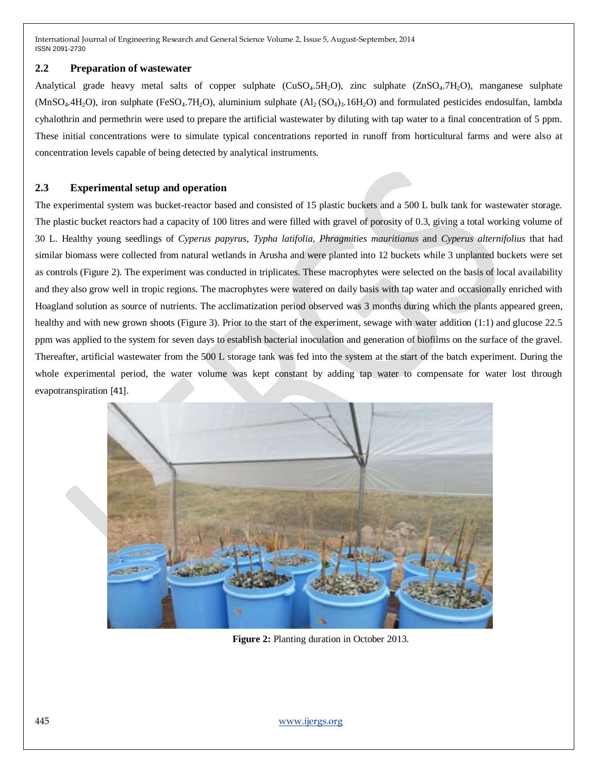### **2.2 Preparation of wastewater**

Analytical grade heavy metal salts of copper sulphate  $(CuSO<sub>4</sub>.5H<sub>2</sub>O)$ , zinc sulphate  $(ZnSO<sub>4</sub>.7H<sub>2</sub>O)$ , manganese sulphate  $(MnSO<sub>4</sub>.4H<sub>2</sub>O)$ , iron sulphate (FeSO<sub>4</sub>.7H<sub>2</sub>O), aluminium sulphate  $(A<sub>2</sub>(SO<sub>4</sub>)<sub>3</sub>.16H<sub>2</sub>O)$  and formulated pesticides endosulfan, lambda cyhalothrin and permethrin were used to prepare the artificial wastewater by diluting with tap water to a final concentration of 5 ppm. These initial concentrations were to simulate typical concentrations reported in runoff from horticultural farms and were also at concentration levels capable of being detected by analytical instruments.

### **2.3 Experimental setup and operation**

The experimental system was bucket-reactor based and consisted of 15 plastic buckets and a 500 L bulk tank for wastewater storage. The plastic bucket reactors had a capacity of 100 litres and were filled with gravel of porosity of 0.3, giving a total working volume of 30 L. Healthy young seedlings of *Cyperus papyrus*, *Typha latifolia*, *Phragmities mauritianus* and *Cyperus alternifolius* that had similar biomass were collected from natural wetlands in Arusha and were planted into 12 buckets while 3 unplanted buckets were set as controls (Figure 2). The experiment was conducted in triplicates. These macrophytes were selected on the basis of local availability and they also grow well in tropic regions. The macrophytes were watered on daily basis with tap water and occasionally enriched with Hoagland solution as source of nutrients. The acclimatization period observed was 3 months during which the plants appeared green, healthy and with new grown shoots (Figure 3). Prior to the start of the experiment, sewage with water addition (1:1) and glucose 22.5 ppm was applied to the system for seven days to establish bacterial inoculation and generation of biofilms on the surface of the gravel. Thereafter, artificial wastewater from the 500 L storage tank was fed into the system at the start of the batch experiment. During the whole experimental period, the water volume was kept constant by adding tap water to compensate for water lost through evapotranspiration [41].



**Figure 2:** Planting duration in October 2013.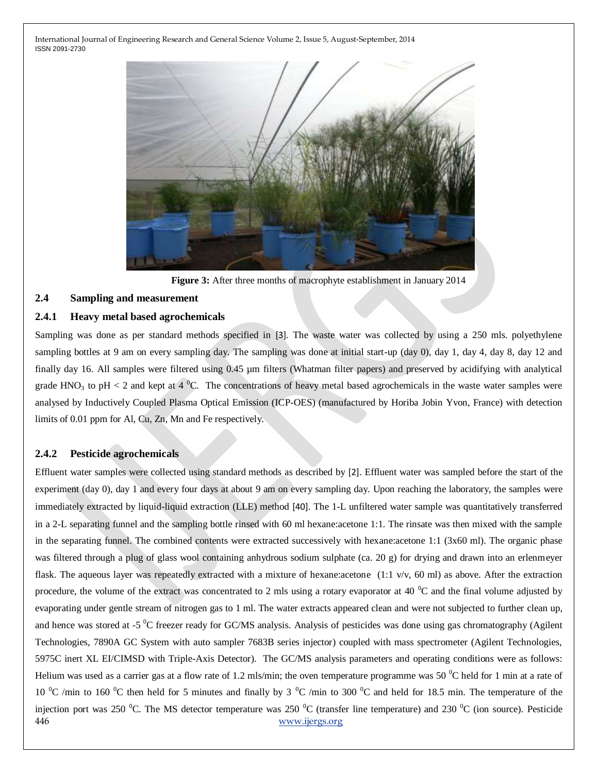

**Figure 3:** After three months of macrophyte establishment in January 2014

# **2.4 Sampling and measurement**

#### **2.4.1 Heavy metal based agrochemicals**

Sampling was done as per standard methods specified in [3]. The waste water was collected by using a 250 mls. polyethylene sampling bottles at 9 am on every sampling day. The sampling was done at initial start-up (day 0), day 1, day 4, day 8, day 12 and finally day 16. All samples were filtered using 0.45 µm filters (Whatman filter papers) and preserved by acidifying with analytical grade HNO<sub>3</sub> to pH < 2 and kept at 4 <sup>o</sup>C. The concentrations of heavy metal based agrochemicals in the waste water samples were analysed by Inductively Coupled Plasma Optical Emission (ICP-OES) (manufactured by Horiba Jobin Yvon, France) with detection limits of 0.01 ppm for Al, Cu, Zn, Mn and Fe respectively.

#### **2.4.2 Pesticide agrochemicals**

446 [www.ijergs.org](http://www.ijergs.org/) Effluent water samples were collected using standard methods as described by [2]. Effluent water was sampled before the start of the experiment (day 0), day 1 and every four days at about 9 am on every sampling day. Upon reaching the laboratory, the samples were immediately extracted by liquid-liquid extraction (LLE) method [40]. The 1-L unfiltered water sample was quantitatively transferred in a 2-L separating funnel and the sampling bottle rinsed with 60 ml hexane:acetone 1:1. The rinsate was then mixed with the sample in the separating funnel. The combined contents were extracted successively with hexane:acetone 1:1 (3x60 ml). The organic phase was filtered through a plug of glass wool containing anhydrous sodium sulphate (ca. 20 g) for drying and drawn into an erlenmeyer flask. The aqueous layer was repeatedly extracted with a mixture of hexane:acetone (1:1 v/v, 60 ml) as above. After the extraction procedure, the volume of the extract was concentrated to 2 mls using a rotary evaporator at 40  $^{\circ}$ C and the final volume adjusted by evaporating under gentle stream of nitrogen gas to 1 ml. The water extracts appeared clean and were not subjected to further clean up, and hence was stored at -5<sup>0</sup>C freezer ready for GC/MS analysis. Analysis of pesticides was done using gas chromatography (Agilent Technologies, 7890A GC System with auto sampler 7683B series injector) coupled with mass spectrometer (Agilent Technologies, 5975C inert XL EI/CIMSD with Triple-Axis Detector). The GC/MS analysis parameters and operating conditions were as follows: Helium was used as a carrier gas at a flow rate of 1.2 mls/min; the oven temperature programme was 50  $\degree$ C held for 1 min at a rate of 10  $^{\circ}$ C /min to 160  $^{\circ}$ C then held for 5 minutes and finally by 3  $^{\circ}$ C /min to 300  $^{\circ}$ C and held for 18.5 min. The temperature of the injection port was 250  $^0C$ . The MS detector temperature was 250  $^0C$  (transfer line temperature) and 230  $^0C$  (ion source). Pesticide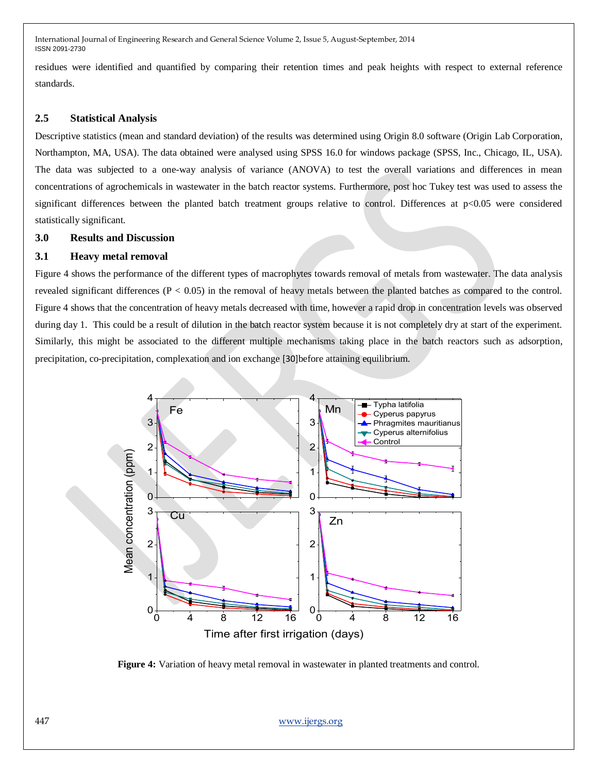residues were identified and quantified by comparing their retention times and peak heights with respect to external reference standards.

## **2.5 Statistical Analysis**

Descriptive statistics (mean and standard deviation) of the results was determined using Origin 8.0 software (Origin Lab Corporation, Northampton, MA, USA). The data obtained were analysed using SPSS 16.0 for windows package (SPSS, Inc., Chicago, IL, USA). The data was subjected to a one-way analysis of variance (ANOVA) to test the overall variations and differences in mean concentrations of agrochemicals in wastewater in the batch reactor systems. Furthermore, post hoc Tukey test was used to assess the significant differences between the planted batch treatment groups relative to control. Differences at p<0.05 were considered statistically significant.

#### **3.0 Results and Discussion**

### **3.1 Heavy metal removal**

Figure 4 shows the performance of the different types of macrophytes towards removal of metals from wastewater. The data analysis revealed significant differences (P < 0.05) in the removal of heavy metals between the planted batches as compared to the control. Figure 4 shows that the concentration of heavy metals decreased with time, however a rapid drop in concentration levels was observed during day 1. This could be a result of dilution in the batch reactor system because it is not completely dry at start of the experiment. Similarly, this might be associated to the different multiple mechanisms taking place in the batch reactors such as adsorption, precipitation, co-precipitation, complexation and ion exchange [30]before attaining equilibrium.



**Figure 4:** Variation of heavy metal removal in wastewater in planted treatments and control.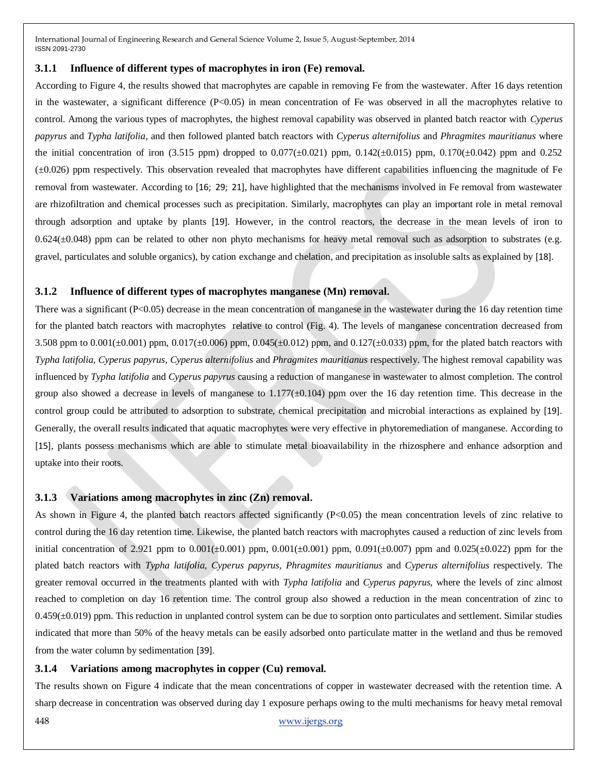#### **3.1.1 Influence of different types of macrophytes in iron (Fe) removal.**

According to Figure 4, the results showed that macrophytes are capable in removing Fe from the wastewater. After 16 days retention in the wastewater, a significant difference (P<0.05) in mean concentration of Fe was observed in all the macrophytes relative to control. Among the various types of macrophytes, the highest removal capability was observed in planted batch reactor with *Cyperus papyrus* and *Typha latifolia*, and then followed planted batch reactors with *Cyperus alternifolius* and *Phragmites mauritianus* where the initial concentration of iron (3.515 ppm) dropped to 0.077( $\pm$ 0.021) ppm, 0.142( $\pm$ 0.015) ppm, 0.170( $\pm$ 0.042) ppm and 0.252 (±0.026) ppm respectively. This observation revealed that macrophytes have different capabilities influencing the magnitude of Fe removal from wastewater. According to [16; 29; 21], have highlighted that the mechanisms involved in Fe removal from wastewater are rhizofiltration and chemical processes such as precipitation. Similarly, macrophytes can play an important role in metal removal through adsorption and uptake by plants [19]. However, in the control reactors, the decrease in the mean levels of iron to  $0.624(\pm 0.048)$  ppm can be related to other non phyto mechanisms for heavy metal removal such as adsorption to substrates (e.g. gravel, particulates and soluble organics), by cation exchange and chelation, and precipitation as insoluble salts as explained by [18].

#### **3.1.2 Influence of different types of macrophytes manganese (Mn) removal.**

There was a significant (P<0.05) decrease in the mean concentration of manganese in the wastewater during the 16 day retention time for the planted batch reactors with macrophytes relative to control (Fig. 4). The levels of manganese concentration decreased from 3.508 ppm to  $0.001(\pm 0.001)$  ppm,  $0.017(\pm 0.006)$  ppm,  $0.045(\pm 0.012)$  ppm, and  $0.127(\pm 0.033)$  ppm, for the plated batch reactors with *Typha latifolia, Cyperus papyrus, Cyperus alternifolius* and *Phragmites mauritianus* respectively. The highest removal capability was influenced by *Typha latifolia* and *Cyperus papyrus* causing a reduction of manganese in wastewater to almost completion. The control group also showed a decrease in levels of manganese to  $1.177(\pm 0.104)$  ppm over the 16 day retention time. This decrease in the control group could be attributed to adsorption to substrate, chemical precipitation and microbial interactions as explained by [19]. Generally, the overall results indicated that aquatic macrophytes were very effective in phytoremediation of manganese. According to [15], plants possess mechanisms which are able to stimulate metal bioavailability in the rhizosphere and enhance adsorption and uptake into their roots.

### **3.1.3 Variations among macrophytes in zinc (Zn) removal.**

As shown in Figure 4, the planted batch reactors affected significantly (P<0.05) the mean concentration levels of zinc relative to control during the 16 day retention time. Likewise, the planted batch reactors with macrophytes caused a reduction of zinc levels from initial concentration of 2.921 ppm to  $0.001(\pm 0.001)$  ppm,  $0.001(\pm 0.001)$  ppm,  $0.091(\pm 0.007)$  ppm and  $0.025(\pm 0.022)$  ppm for the plated batch reactors with *Typha latifolia, Cyperus papyrus, Phragmites mauritianus* and *Cyperus alternifolius* respectively. The greater removal occurred in the treatments planted with with *Typha latifolia* and *Cyperus papyrus,* where the levels of zinc almost reached to completion on day 16 retention time. The control group also showed a reduction in the mean concentration of zinc to  $0.459(\pm 0.019)$  ppm. This reduction in unplanted control system can be due to sorption onto particulates and settlement. Similar studies indicated that more than 50% of the heavy metals can be easily adsorbed onto particulate matter in the wetland and thus be removed from the water column by sedimentation [39].

### **3.1.4 Variations among macrophytes in copper (Cu) removal.**

The results shown on Figure 4 indicate that the mean concentrations of copper in wastewater decreased with the retention time. A sharp decrease in concentration was observed during day 1 exposure perhaps owing to the multi mechanisms for heavy metal removal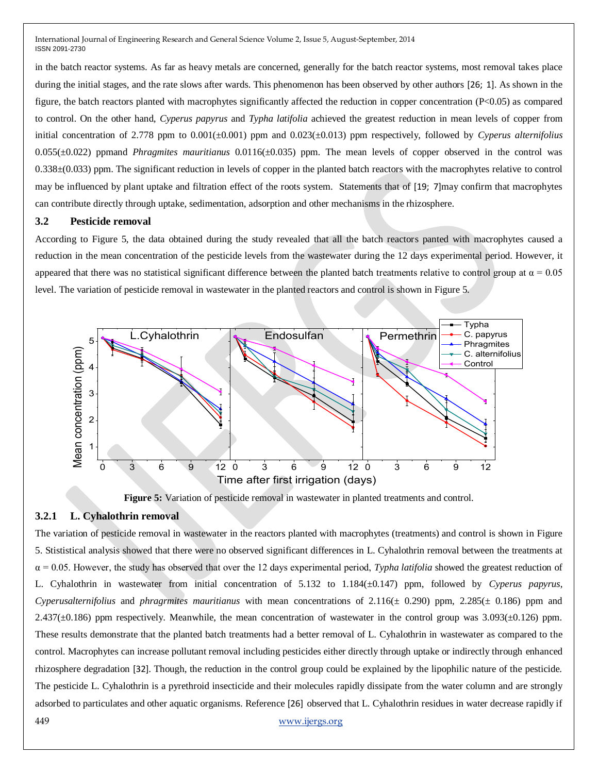in the batch reactor systems. As far as heavy metals are concerned, generally for the batch reactor systems, most removal takes place during the initial stages, and the rate slows after wards. This phenomenon has been observed by other authors [26; 1]. As shown in the figure, the batch reactors planted with macrophytes significantly affected the reduction in copper concentration (P<0.05) as compared to control. On the other hand, *Cyperus papyrus* and *Typha latifolia* achieved the greatest reduction in mean levels of copper from initial concentration of 2.778 ppm to 0.001(±0.001) ppm and 0.023(±0.013) ppm respectively, followed by *Cyperus alternifolius*  0.055(±0.022) ppmand *Phragmites mauritianus* 0.0116(±0.035) ppm*.* The mean levels of copper observed in the control was 0.338±(0.033) ppm. The significant reduction in levels of copper in the planted batch reactors with the macrophytes relative to control may be influenced by plant uptake and filtration effect of the roots system. Statements that of [19; 7]may confirm that macrophytes can contribute directly through uptake, sedimentation, adsorption and other mechanisms in the rhizosphere.

#### **3.2 Pesticide removal**

According to Figure 5, the data obtained during the study revealed that all the batch reactors panted with macrophytes caused a reduction in the mean concentration of the pesticide levels from the wastewater during the 12 days experimental period. However, it appeared that there was no statistical significant difference between the planted batch treatments relative to control group at  $\alpha = 0.05$ level. The variation of pesticide removal in wastewater in the planted reactors and control is shown in Figure 5.



**Figure 5:** Variation of pesticide removal in wastewater in planted treatments and control.

## **3.2.1 L. Cyhalothrin removal**

449 [www.ijergs.org](http://www.ijergs.org/) The variation of pesticide removal in wastewater in the reactors planted with macrophytes (treatments) and control is shown in Figure 5. Stististical analysis showed that there were no observed significant differences in L. Cyhalothrin removal between the treatments at  $\alpha = 0.05$ . However, the study has observed that over the 12 days experimental period, *Typha latifolia* showed the greatest reduction of L. Cyhalothrin in wastewater from initial concentration of 5.132 to 1.184(±0.147) ppm, followed by *Cyperus papyrus*, *Cyperusalternifolius* and *phragrmites mauritianus* with mean concentrations of 2.116(± 0.290) ppm, 2.285(± 0.186) ppm and  $2.437(\pm 0.186)$  ppm respectively. Meanwhile, the mean concentration of wastewater in the control group was  $3.093(\pm 0.126)$  ppm. These results demonstrate that the planted batch treatments had a better removal of L. Cyhalothrin in wastewater as compared to the control. Macrophytes can increase pollutant removal including pesticides either directly through uptake or indirectly through enhanced rhizosphere degradation [32]. Though, the reduction in the control group could be explained by the lipophilic nature of the pesticide. The pesticide L. Cyhalothrin is a pyrethroid insecticide and their molecules rapidly dissipate from the water column and are strongly adsorbed to particulates and other aquatic organisms. Reference [26] observed that L. Cyhalothrin residues in water decrease rapidly if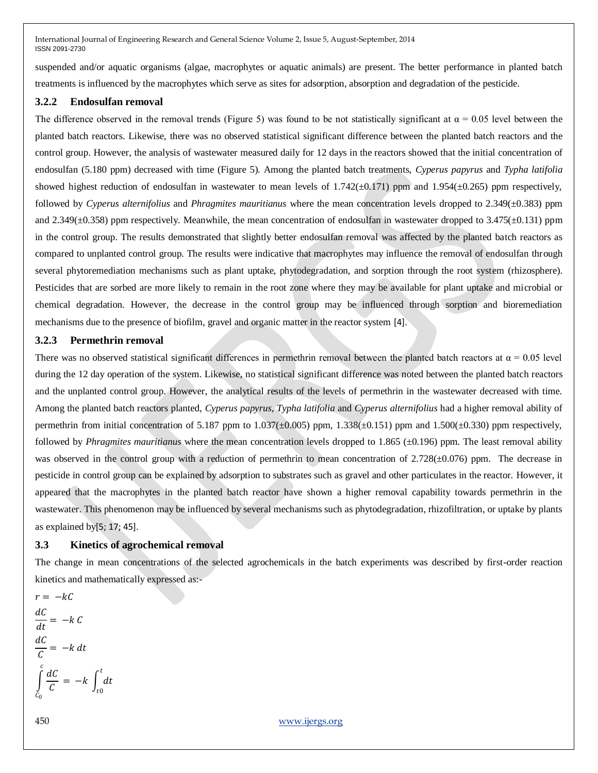suspended and/or aquatic organisms (algae, macrophytes or aquatic animals) are present. The better performance in planted batch treatments is influenced by the macrophytes which serve as sites for adsorption, absorption and degradation of the pesticide.

## **3.2.2 Endosulfan removal**

The difference observed in the removal trends (Figure 5) was found to be not statistically significant at  $\alpha = 0.05$  level between the planted batch reactors. Likewise, there was no observed statistical significant difference between the planted batch reactors and the control group. However, the analysis of wastewater measured daily for 12 days in the reactors showed that the initial concentration of endosulfan (5.180 ppm) decreased with time (Figure 5). Among the planted batch treatments, *Cyperus papyrus* and *Typha latifolia* showed highest reduction of endosulfan in wastewater to mean levels of  $1.742(\pm 0.171)$  ppm and  $1.954(\pm 0.265)$  ppm respectively, followed by *Cyperus alternifolius* and *Phragmites mauritianus* where the mean concentration levels dropped to 2.349(±0.383) ppm and  $2.349(\pm 0.358)$  ppm respectively. Meanwhile, the mean concentration of endosulfan in wastewater dropped to  $3.475(\pm 0.131)$  ppm in the control group. The results demonstrated that slightly better endosulfan removal was affected by the planted batch reactors as compared to unplanted control group. The results were indicative that macrophytes may influence the removal of endosulfan through several phytoremediation mechanisms such as plant uptake, phytodegradation, and sorption through the root system (rhizosphere). Pesticides that are sorbed are more likely to remain in the root zone where they may be available for plant uptake and microbial or chemical degradation. However, the decrease in the control group may be influenced through sorption and bioremediation mechanisms due to the presence of biofilm, gravel and organic matter in the reactor system [4].

# **3.2.3 Permethrin removal**

There was no observed statistical significant differences in permethrin removal between the planted batch reactors at  $\alpha = 0.05$  level during the 12 day operation of the system. Likewise, no statistical significant difference was noted between the planted batch reactors and the unplanted control group. However, the analytical results of the levels of permethrin in the wastewater decreased with time. Among the planted batch reactors planted, *Cyperus papyrus, Typha latifolia* and *Cyperus alternifolius* had a higher removal ability of permethrin from initial concentration of 5.187 ppm to  $1.037(\pm 0.005)$  ppm,  $1.338(\pm 0.151)$  ppm and  $1.500(\pm 0.330)$  ppm respectively, followed by *Phragmites mauritianus* where the mean concentration levels dropped to 1.865 ( $\pm$ 0.196) ppm. The least removal ability was observed in the control group with a reduction of permethrin to mean concentration of  $2.728(\pm0.076)$  ppm. The decrease in pesticide in control group can be explained by adsorption to substrates such as gravel and other particulates in the reactor. However, it appeared that the macrophytes in the planted batch reactor have shown a higher removal capability towards permethrin in the wastewater. This phenomenon may be influenced by several mechanisms such as phytodegradation, rhizofiltration, or uptake by plants as explained by[5; 17; 45].

# **3.3 Kinetics of agrochemical removal**

The change in mean concentrations of the selected agrochemicals in the batch experiments was described by first-order reaction kinetics and mathematically expressed as:-

$$
r = -kC
$$
  
\n
$$
\frac{dC}{dt} = -k C
$$
  
\n
$$
\frac{dC}{C} = -k dt
$$
  
\n
$$
\int_{C_0}^{c} \frac{dC}{C} = -k \int_{t_0}^{t} dt
$$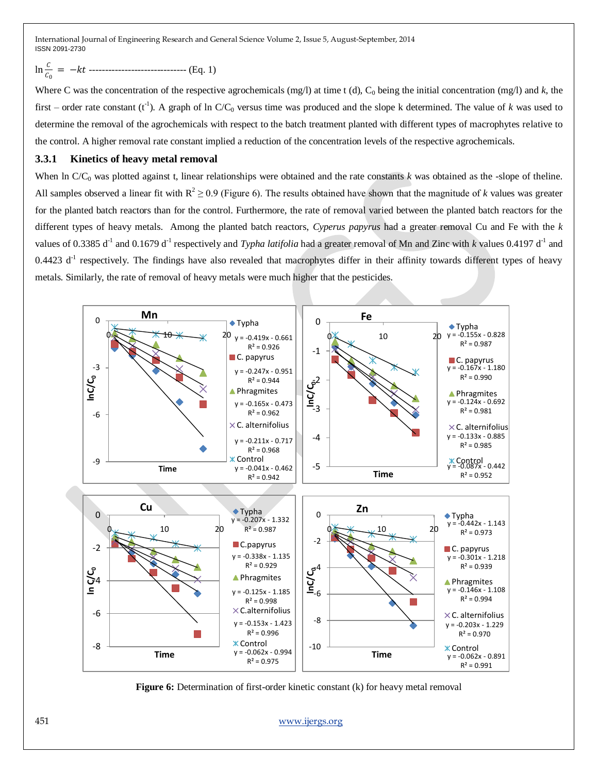# ln 0 = − ------------------------------ (Eq. 1)

Where C was the concentration of the respective agrochemicals (mg/l) at time t (d),  $C_0$  being the initial concentration (mg/l) and *k*, the first – order rate constant  $(t<sup>-1</sup>)$ . A graph of ln  $C/C_0$  versus time was produced and the slope k determined. The value of *k* was used to determine the removal of the agrochemicals with respect to the batch treatment planted with different types of macrophytes relative to the control. A higher removal rate constant implied a reduction of the concentration levels of the respective agrochemicals.

# **3.3.1 Kinetics of heavy metal removal**

When ln C/C<sub>0</sub> was plotted against t, linear relationships were obtained and the rate constants *k* was obtained as the -slope of theline. All samples observed a linear fit with  $R^2 \ge 0.9$  (Figure 6). The results obtained have shown that the magnitude of *k* values was greater for the planted batch reactors than for the control. Furthermore, the rate of removal varied between the planted batch reactors for the different types of heavy metals. Among the planted batch reactors, *Cyperus papyrus* had a greater removal Cu and Fe with the *k*  values of 0.3385 d<sup>-1</sup> and 0.1679 d<sup>-1</sup> respectively and *Typha latifolia* had a greater removal of Mn and Zinc with *k* values 0.4197 d<sup>-1</sup> and  $0.4423$  d<sup>-1</sup> respectively. The findings have also revealed that macrophytes differ in their affinity towards different types of heavy metals. Similarly, the rate of removal of heavy metals were much higher that the pesticides.



**Figure 6:** Determination of first-order kinetic constant (k) for heavy metal removal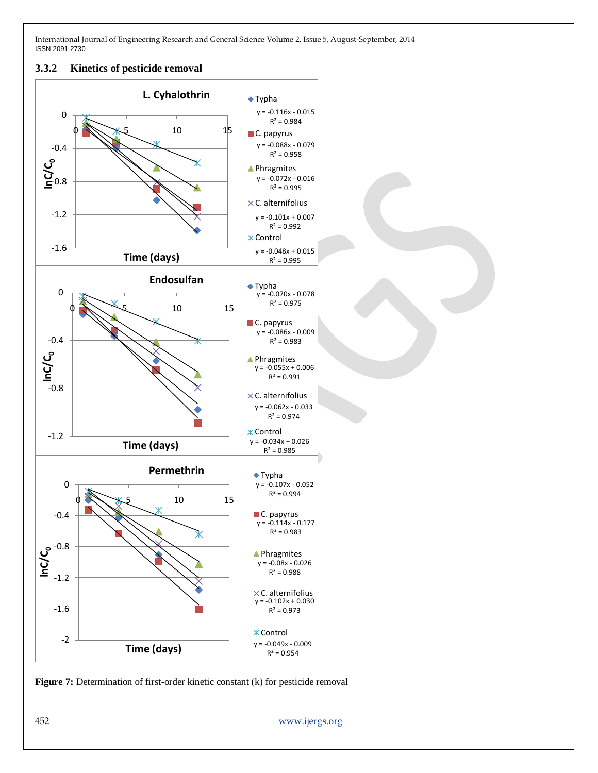#### **3.3.2 Kinetics of pesticide removal**



**Figure 7:** Determination of first-order kinetic constant (k) for pesticide removal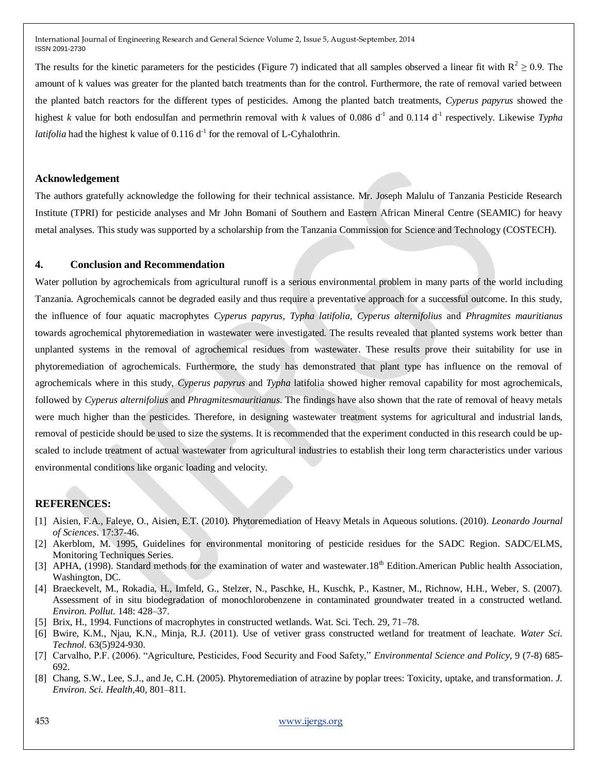The results for the kinetic parameters for the pesticides (Figure 7) indicated that all samples observed a linear fit with  $R^2 \ge 0.9$ . The amount of k values was greater for the planted batch treatments than for the control. Furthermore, the rate of removal varied between the planted batch reactors for the different types of pesticides. Among the planted batch treatments, *Cyperus papyrus* showed the highest *k* value for both endosulfan and permethrin removal with *k* values of 0.086 d<sup>-1</sup> and 0.114 d<sup>-1</sup> respectively. Likewise *Typha latifolia* had the highest k value of  $0.116 d^{-1}$  for the removal of L-Cyhalothrin.

#### **Acknowledgement**

The authors gratefully acknowledge the following for their technical assistance. Mr. Joseph Malulu of Tanzania Pesticide Research Institute (TPRI) for pesticide analyses and Mr John Bomani of Southern and Eastern African Mineral Centre (SEAMIC) for heavy metal analyses. This study was supported by a scholarship from the Tanzania Commission for Science and Technology (COSTECH).

## **4. Conclusion and Recommendation**

Water pollution by agrochemicals from agricultural runoff is a serious environmental problem in many parts of the world including Tanzania. Agrochemicals cannot be degraded easily and thus require a preventative approach for a successful outcome. In this study, the influence of four aquatic macrophytes *Cyperus papyrus*, *Typha latifolia*, *Cyperus alternifolius* and *Phragmites mauritianus* towards agrochemical phytoremediation in wastewater were investigated. The results revealed that planted systems work better than unplanted systems in the removal of agrochemical residues from wastewater. These results prove their suitability for use in phytoremediation of agrochemicals. Furthermore, the study has demonstrated that plant type has influence on the removal of agrochemicals where in this study, *Cyperus papyrus* and *Typha* latifolia showed higher removal capability for most agrochemicals, followed by *Cyperus alternifolius* and *Phragmitesmauritianus*. The findings have also shown that the rate of removal of heavy metals were much higher than the pesticides. Therefore, in designing wastewater treatment systems for agricultural and industrial lands, removal of pesticide should be used to size the systems. It is recommended that the experiment conducted in this research could be upscaled to include treatment of actual wastewater from agricultural industries to establish their long term characteristics under various environmental conditions like organic loading and velocity.

### **REFERENCES:**

- [1] Aisien, F.A., Faleye, O., Aisien, E.T. (2010). Phytoremediation of Heavy Metals in Aqueous solutions. (2010). *Leonardo Journal of Sciences*. 17:37-46.
- [2] Akerblom, M. 1995, Guidelines for environmental monitoring of pesticide residues for the SADC Region. SADC/ELMS, Monitoring Techniques Series.
- [3] APHA, (1998). Standard methods for the examination of water and wastewater.18<sup>th</sup> Edition.American Public health Association, Washington, DC.
- [4] Braeckevelt, M., Rokadia, H., Imfeld, G., Stelzer, N., Paschke, H., Kuschk, P., Kastner, M., Richnow, H.H., Weber, S. (2007). Assessment of in situ biodegradation of monochlorobenzene in contaminated groundwater treated in a constructed wetland. *Environ. Pollut*. 148: 428–37.
- [5] Brix, H., 1994. Functions of macrophytes in constructed wetlands. Wat. Sci. Tech. 29, 71–78.
- [6] Bwire, K.M., Njau, K.N., Minja, R.J. (2011). Use of vetiver grass constructed wetland for treatment of leachate. *Water Sci. Technol.* 63(5)924-930.
- [7] Carvalho, P.F. (2006). "Agriculture, Pesticides, Food Security and Food Safety," *Environmental Science and Policy*, 9 (7-8) 685-692.
- [8] Chang, S.W., Lee, S.J., and Je, C.H. (2005). Phytoremediation of atrazine by poplar trees: Toxicity, uptake, and transformation. *J. Environ. Sci. Health,*40, 801–811.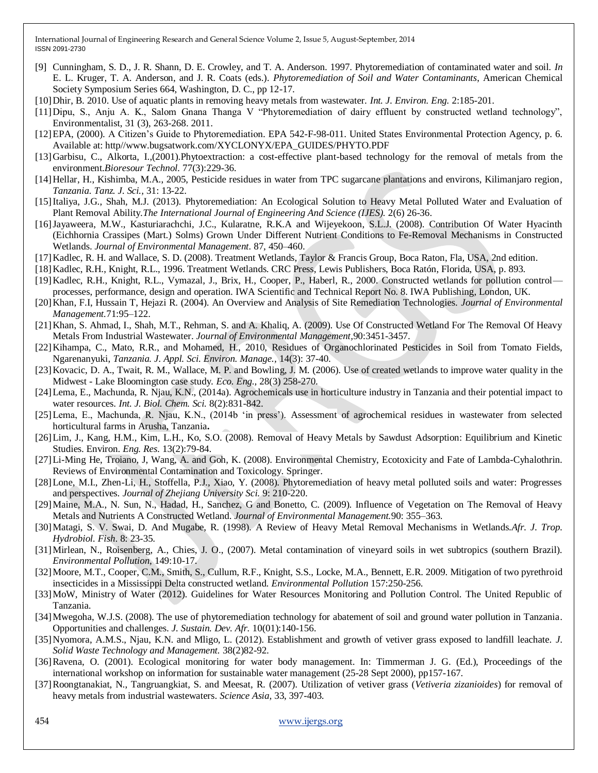- [9] Cunningham, S. D., J. R. Shann, D. E. Crowley, and T. A. Anderson. 1997. Phytoremediation of contaminated water and soil. *In* E. L. Kruger, T. A. Anderson, and J. R. Coats (eds.). *Phytoremediation of Soil and Water Contaminants*, American Chemical Society Symposium Series 664, Washington, D. C., pp 12-17.
- [10]Dhir, B. 2010. Use of aquatic plants in removing heavy metals from wastewater. *Int. J. Environ. Eng.* 2:185-201.
- [11]Dipu, S., Anju A. K., Salom Gnana Thanga V "Phytoremediation of dairy effluent by constructed wetland technology", Environmentalist, 31 (3), 263-268. 2011.
- [12]EPA, (2000). A Citizen's Guide to Phytoremediation. EPA 542-F-98-011. United States Environmental Protection Agency, p. 6. Available at: http//www.bugsatwork.com/XYCLONYX/EPA\_GUIDES/PHYTO.PDF
- [13[\]Garbisu, C.](http://www.ncbi.nlm.nih.gov/pubmed?term=Garbisu%20C%5BAuthor%5D&cauthor=true&cauthor_uid=11272009), [Alkorta, I.](http://www.ncbi.nlm.nih.gov/pubmed?term=Alkorta%20I%5BAuthor%5D&cauthor=true&cauthor_uid=11272009),(2001).Phytoextraction: a cost-effective plant-based technology for the removal of metals from the environment.*[Bioresour Technol.](http://www.ncbi.nlm.nih.gov/pubmed/11272009)* 77(3):229-36.
- [14]Hellar, H., Kishimba, M.A., 2005, Pesticide residues in water from TPC sugarcane plantations and environs, Kilimanjaro region, *Tanzania. Tanz. J. Sci.,* 31: 13-22.
- [15]Italiya, J.G., Shah, M.J. (2013). Phytoremediation: An Ecological Solution to Heavy Metal Polluted Water and Evaluation of Plant Removal Ability.*The International Journal of Engineering And Science (IJES).* 2(6) 26-36.
- [16]Jayaweera, M.W., Kasturiarachchi, J.C., Kularatne, R.K.A and Wijeyekoon, S.L.J. (2008). Contribution Of Water Hyacinth (Eichhornia Crassipes (Mart.) Solms) Grown Under Different Nutrient Conditions to Fe-Removal Mechanisms in Constructed Wetlands. *Journal of Environmental Management.* 87, 450–460.
- [17]Kadlec, R. H. and Wallace, S. D. (2008). Treatment Wetlands, Taylor & Francis Group, Boca Raton, Fla, USA, 2nd edition.
- [18]Kadlec, R.H., Knight, R.L., 1996. Treatment Wetlands. CRC Press, Lewis Publishers, Boca Ratón, Florida, USA, p. 893.
- [19]Kadlec, R.H., Knight, R.L., Vymazal, J., Brix, H., Cooper, P., Haberl, R., 2000. Constructed wetlands for pollution control processes, performance, design and operation. IWA Scientific and Technical Report No. 8. IWA Publishing, London, UK.
- [20]Khan, F.I, Hussain T, Hejazi R. (2004). An Overview and Analysis of Site Remediation Technologies. *Journal of Environmental Management.*71:95–122.
- [21] Khan, S. Ahmad, I., Shah, M.T., Rehman, S. and A. Khaliq, A. (2009). Use Of Constructed Wetland For The Removal Of Heavy Metals From Industrial Wastewater. *Journal of Environmental Management,*90:3451-3457.
- [22]Kihampa, C., Mato, R.R., and Mohamed, H., 2010, Residues of Organochlorinated Pesticides in Soil from Tomato Fields, Ngarenanyuki, *Tanzania. J. Appl. Sci. Environ. Manage.,* 14(3): 37-40.
- [23]Kovacic, D. A., Twait, R. M., Wallace, M. P. and Bowling, J. M. (2006). Use of created wetlands to improve water quality in the Midwest - Lake Bloomington case study*. Eco. Eng.,* 28(3) 258-270.
- [24]Lema, E., Machunda, R. Njau, K.N., (2014a). Agrochemicals use in horticulture industry in Tanzania and their potential impact to water resources. *Int. J. Biol. Chem. Sci.* 8(2):831-842.
- [25]Lema, E., Machunda, R. Njau, K.N., (2014b ‗in press'). Assessment of agrochemical residues in wastewater from selected horticultural farms in Arusha, Tanzania**.**
- [26]Lim, J., Kang, H.M., Kim, L.H., Ko, S.O. (2008). Removal of Heavy Metals by Sawdust Adsorption: Equilibrium and Kinetic Studies. Environ. *Eng. Res.* 13(2):79-84.
- [27]Li-Ming He, Troiano, J, Wang, A. and Goh, K. (2008). Environmental Chemistry, Ecotoxicity and Fate of Lambda-Cyhalothrin. Reviews of Environmental Contamination and Toxicology. Springer.
- [28]Lone, M.I., Zhen-Li, H., Stoffella, P.J., Xiao, Y. (2008). Phytoremediation of heavy metal polluted soils and water: Progresses and perspectives. *Journal of Zhejiang University Sci.* 9: 210-220.
- [29]Maine, M.A., N. Sun, N., Hadad, H., Sanchez, G and Bonetto, C. (2009). Influence of Vegetation on The Removal of Heavy Metals and Nutrients A Constructed Wetland. *Journal of Environmental Management.*90: 355–363.
- [30]Matagi, S. V. Swai, D. And Mugabe, R. (1998). A Review of Heavy Metal Removal Mechanisms in Wetlands.*Afr. J. Trop. Hydrobiol. Fish*. 8: 23-35.
- [31]Mirlean, N., Roisenberg, A., Chies, J. O., (2007). Metal contamination of vineyard soils in wet subtropics (southern Brazil). *Environmental Pollution*, 149:10-17.
- [32]Moore, M.T., Cooper, C.M., Smith, S., Cullum, R.F., Knight, S.S., Locke, M.A., Bennett, E.R. 2009. Mitigation of two pyrethroid insecticides in a Mississippi Delta constructed wetland. *Environmental Pollution* 157:250-256.
- [33]MoW, Ministry of Water (2012). Guidelines for Water Resources Monitoring and Pollution Control. The United Republic of Tanzania.
- [34]Mwegoha, W.J.S. (2008). The use of phytoremediation technology for abatement of soil and ground water pollution in Tanzania. Opportunities and challenges. *J. Sustain. Dev. Afr.* 10(01):140-156.
- [35]Nyomora, A.M.S., Njau, K.N. and Mligo, L. (2012). Establishment and growth of vetiver grass exposed to landfill leachate. *J. Solid Waste Technology and Management.* 38(2)82-92.
- [36]Ravena, O. (2001). Ecological monitoring for water body management. In: Timmerman J. G. (Ed.), Proceedings of the international workshop on information for sustainable water management (25-28 Sept 2000), pp157-167.
- [37]Roongtanakiat, N., Tangruangkiat, S. and Meesat, R. (2007). Utilization of vetiver grass (*Vetiveria zizanioides*) for removal of heavy metals from industrial wastewaters. *Science Asia,* 33, 397-403.